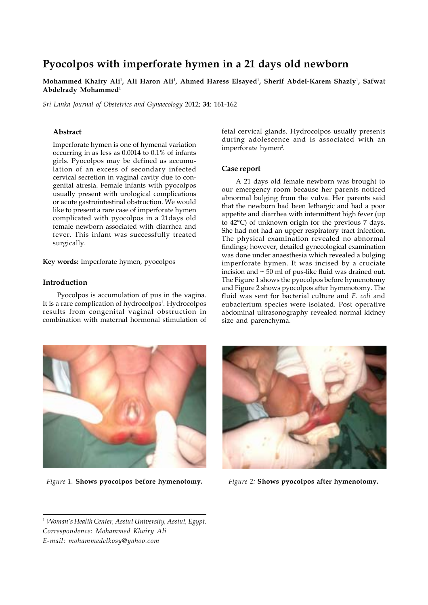# **Pyocolpos with imperforate hymen in a 21 days old newborn**

**Mohammed Khairy Ali**<sup>1</sup> **, Ali Haron Ali**<sup>1</sup> **, Ahmed Haress Elsayed**<sup>1</sup> **, Sherif Abdel-Karem Shazly**<sup>1</sup> **, Safwat Abdelrady Mohammed**<sup>1</sup>

*Sri Lanka Journal of Obstetrics and Gynaecology* 2012; **34**: 161-162

### **Abstract**

Imperforate hymen is one of hymenal variation occurring in as less as 0.0014 to 0.1% of infants girls. Pyocolpos may be defined as accumulation of an excess of secondary infected cervical secretion in vaginal cavity due to congenital atresia. Female infants with pyocolpos usually present with urological complications or acute gastrointestinal obstruction. We would like to present a rare case of imperforate hymen complicated with pyocolpos in a 21days old female newborn associated with diarrhea and fever. This infant was successfully treated surgically.

**Key words:** Imperforate hymen, pyocolpos

### **Introduction**

Pyocolpos is accumulation of pus in the vagina. It is a rare complication of hydrocolpos<sup>1</sup>. Hydrocolpos results from congenital vaginal obstruction in combination with maternal hormonal stimulation of fetal cervical glands. Hydrocolpos usually presents during adolescence and is associated with an imperforate hymen<sup>2</sup>.

# **Case report**

A 21 days old female newborn was brought to our emergency room because her parents noticed abnormal bulging from the vulva. Her parents said that the newborn had been lethargic and had a poor appetite and diarrhea with intermittent high fever (up to 42°C) of unknown origin for the previous 7 days. She had not had an upper respiratory tract infection. The physical examination revealed no abnormal findings; however, detailed gynecological examination was done under anaesthesia which revealed a bulging imperforate hymen. It was incised by a cruciate incision and  $\sim$  50 ml of pus-like fluid was drained out. The Figure 1 shows the pyocolpos before hymenotomy and Figure 2 shows pyocolpos after hymenotomy. The fluid was sent for bacterial culture and *E. coli* and eubacterium species were isolated. Post operative abdominal ultrasonography revealed normal kidney size and parenchyma.



*Figure 1.* **Shows pyocolpos before hymenotomy.** *Figure 2:* **Shows pyocolpos after hymenotomy.**



<sup>1</sup> *Woman's Health Center, Assiut University, Assiut, Egypt. Correspondence: Mohammed Khairy Ali E-mail: mohammedelkosy@yahoo.com*